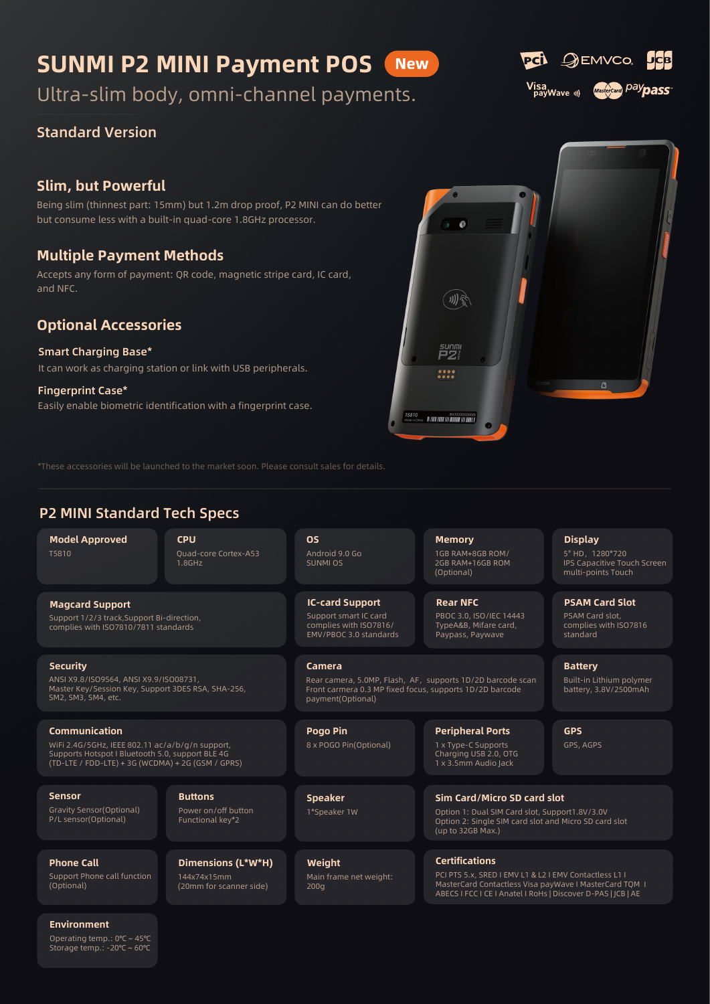#### SUNMI P2 MINI Payment POS **New**

Ultra-slim body, omni-channel payments.

### Standard Version

### Slim, but Powerful

Being slim (thinnest part: 15mm) but 1.2m drop proof, P2 MINI can do better but consume less with a built-in quad-core 1.8GHz processor.

### Multiple Payment Methods

Accepts any form of payment: QR code, magnetic stripe card, IC card, and NFC.

### Optional Accessories

#### Smart Charging Base\*

It can work as charging station or link with USB peripherals.

Easily enable biometric identification with a fingerprint case. Fingerprint Case\*

\*These accessories will be launched to the market soon. Please consult sales for details.

### P2 MINI Standard Tech Specs

Model Approved T5810 1GB RAM+8GB ROM/ 20uad-core Cortex-A53 Android 9.0 Go 1GB RAM+8GB ROM/

Magcard Support

**CPU** Quad-core Cortex-A53 1.8GHz

OS Android 9.0 Go SUNMI OS

IC-card Support Support smart IC card complies with ISO7816/ EMV/PBOC 3.0 standards 2GB RAM+16GB ROM (Optional)

 $\mathcal{L}$ 

例え

 $P2^{\frac{S}{2}}$  $\frac{1}{2}$ 

Rear NFC PBOC 3.0, ISO/IEC 14443 TypeA&B, Mifare card, Paypass, Paywave

#### Camera Rear camera, 5.0MP, Flash, AF, supports 1D/2D barcode scan Front carmera 0.3 MP fixed focus, supports 1D/2D barcode payment(Optional)

Pogo Pin 8 x POGO Pin(Optional) Peripheral Ports 1 x Type-C Supports Charging USB 2.0, OTG 1 x 3.5mm Audio Jack

Sim Card/Micro SD card slot Option 1: Dual SIM Card slot, Support1.8V/3.0V Option 2: Single SIM card slot and Micro SD card slot (up to 32GB Max.)

Certifications PCI PTS 5.x, SRED I EMV L1 & L2 I EMV Contactless L1 I MasterCard Contactless Visa payWave I MasterCard TQM I ABECS I FCC I CE I Anatel I RoHs | Discover D-PAS | JCB | AE

#### Environment

Phone Call

(Optional)

Operating temp.: 0℃ ~ 45℃ Storage temp.: -20℃ ~ 60℃

Support Phone call function

## complies with ISO7810/7811 standards

Support 1/2/3 track,Support Bi-direction,

**Security** ANSI X9.8/ISO9564, ANSI X9.9/ISO08731, Master Key/Session Key, Support 3DES RSA, SHA-256, SM2, SM3, SM4, etc.

#### Communication

WiFi 2.4G/5GHz, IEEE 802.11 ac/a/b/g/n support, Supports Hotspot I Bluetooth 5.0, support BLE 4G (TD-LTE / FDD-LTE) + 3G (WCDMA) + 2G (GSM / GPRS)

Sensor Gravity Sensor(Optional) P/L sensor(Optional)

**Buttons** Power on/off button Functional key\*2

144x74x15mm (20mm for scanner side)

Dimensions (L\*W\*H) **Weight** Main frame net weight:

200g

Speaker 1\*Speaker 1W





5" HD, 1280\*720 IPS Capacitive Touch Screen multi-points Touch

PSAM Card Slot PSAM Card slot, complies with ISO7816

Built-in Lithium polymer battery, 3.8V/2500mAh

Display

standard

Battery

GPS GPS, AGPS



QEMVCO

.<br>PCÎ